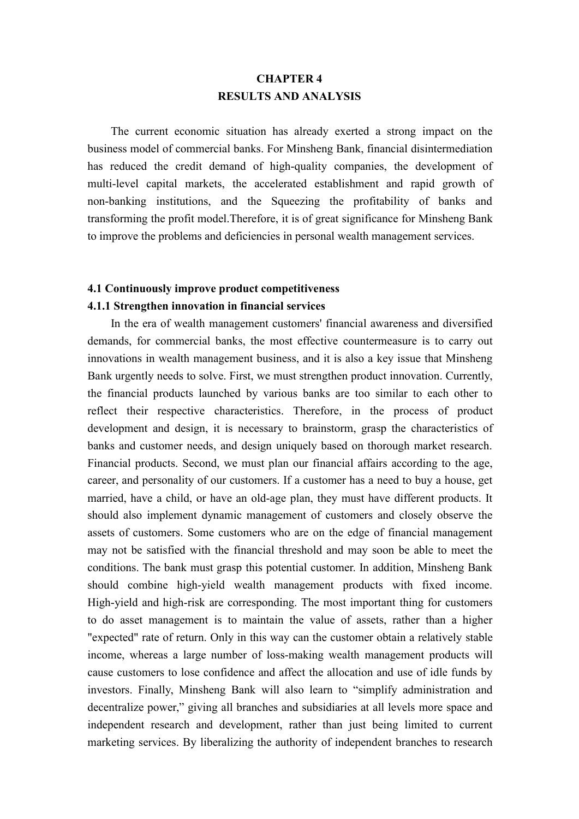# **CHAPTER 4 RESULTS AND ANALYSIS**

The current economic situation has already exerted a strong impact on the business model of commercial banks. For Minsheng Bank, financial disintermediation has reduced the credit demand of high-quality companies, the development of multi-level capital markets, the accelerated establishment and rapid growth of non-banking institutions, and the Squeezing the profitability of banks and transforming the profit model.Therefore, it is of great significance for Minsheng Bank to improve the problems and deficiencies in personal wealth management services.

#### **4.1 Continuously improve product competitiveness**

#### **4.1.1 Strengthen innovation in financial services**

In the era of wealth management customers' financial awareness and diversified demands, for commercial banks, the most effective countermeasure is to carry out innovations in wealth management business, and it is also a key issue that Minsheng Bank urgently needs to solve. First, we must strengthen product innovation. Currently, the financial products launched by various banks are too similar to each other to reflect their respective characteristics. Therefore, in the process of product development and design, it is necessary to brainstorm, grasp the characteristics of banks and customer needs, and design uniquely based on thorough market research. Financial products. Second, we must plan our financial affairs according to the age, career, and personality of our customers. If a customer has a need to buy a house, get married, have a child, or have an old-age plan, they must have different products. It should also implement dynamic management of customers and closely observe the assets of customers. Some customers who are on the edge of financial management may not be satisfied with the financial threshold and may soon be able to meet the conditions. The bank must grasp this potential customer. In addition, Minsheng Bank should combine high-yield wealth management products with fixed income. High-yield and high-risk are corresponding. The most important thing for customers to do asset management is to maintain the value of assets, rather than a higher "expected" rate of return. Only in this way can the customer obtain a relatively stable income, whereas a large number of loss-making wealth management products will cause customers to lose confidence and affect the allocation and use of idle funds by investors. Finally, Minsheng Bank will also learn to "simplify administration and decentralize power," giving all branches and subsidiaries at all levels more space and independent research and development, rather than just being limited to current marketing services. By liberalizing the authority of independent branches to research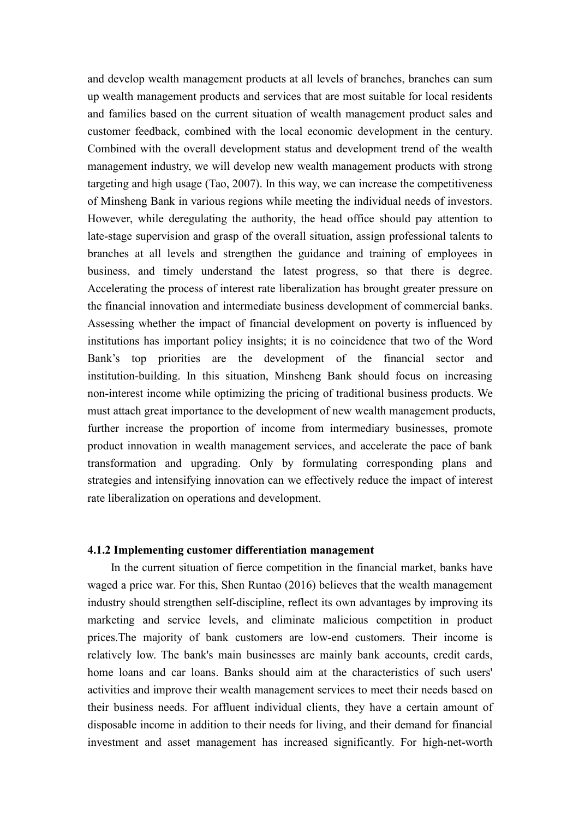and develop wealth management products at all levels of branches, branches can sum up wealth management products and services that are most suitable for local residents and families based on the current situation of wealth management product sales and customer feedback, combined with the local economic development in the century.Combined with the overall development status and development trend of the wealth management industry, we will develop new wealth management products with strong targeting and high usage (Tao, 2007). In this way, we can increase the competitiveness of Minsheng Bank in various regions while meeting the individual needs of investors. However, while deregulating the authority, the head office should pay attention to late-stage supervision and grasp of the overall situation, assign professional talents to branches at all levels and strengthen the guidance and training of employees in business, and timely understand the latest progress, so that there is degree. Accelerating the process of interest rate liberalization has brought greater pressure on the financial innovation and intermediate business development of commercial banks. Assessing whether the impact of financial development on poverty is influenced by institutions has important policy insights; it is no coincidence that two of the Word Bank's top priorities are the development of the financial sector and institution-building. In this situation, Minsheng Bank should focus on increasing non-interest income while optimizing the pricing of traditional business products. We must attach great importance to the development of new wealth management products, further increase the proportion of income from intermediary businesses, promote product innovation in wealth management services, and accelerate the pace of bank transformation and upgrading. Only by formulating corresponding plans and strategies and intensifying innovation can we effectively reduce the impact of interest rate liberalization on operations and development.

### **4.1.2 Implementing customer differentiation management**

In the current situation of fierce competition in the financial market, banks have waged a price war. For this, Shen Runtao (2016) believes that the wealth management industry should strengthen self-discipline, reflect its own advantages by improving its marketing and service levels, and eliminate malicious competition in product prices.The majority of bank customers are low-end customers. Their income is relatively low. The bank's main businesses are mainly bank accounts, credit cards, home loans and car loans. Banks should aim at the characteristics of such users' activities and improve their wealth management services to meet their needs based on their business needs. For affluent individual clients, they have a certain amount of disposable income in addition to their needs for living, and their demand for financial investment and asset management has increased significantly. For high-net-worth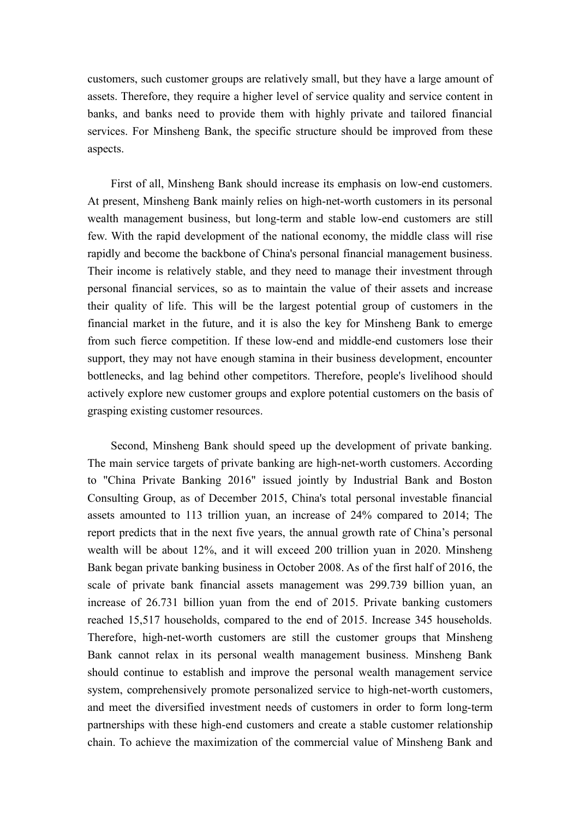customers, such customer groups are relatively small, but they have a large amount of assets. Therefore, they require a higher level of service quality and service content in banks, and banks need to provide them with highly private and tailored financial services. For Minsheng Bank, the specific structure should be improved from these aspects.

First of all, Minsheng Bank should increase its emphasis on low-end customers. At present, Minsheng Bank mainly relies on high-net-worth customers in its personal wealth management business, but long-term and stable low-end customers are still few. With the rapid development of the national economy, the middle class will rise rapidly and become the backbone of China's personal financial management business. Their income is relatively stable, and they need to manage their investment through personal financial services, so as to maintain the value of their assets and increase their quality of life. This will be the largest potential group of customers in the financial market in the future, and it is also the key for Minsheng Bank to emerge from such fierce competition. If these low-end and middle-end customers lose their support, they may not have enough stamina in their business development, encounter bottlenecks, and lag behind other competitors. Therefore, people's livelihood should actively explore new customer groups and explore potential customers on the basis of grasping existing customer resources.

Second, Minsheng Bank should speed up the development of private banking. The main service targets of private banking are high-net-worth customers. According to "China Private Banking 2016" issued jointly by Industrial Bank and Boston Consulting Group, as of December 2015, China's total personal investable financial assets amounted to 113 trillion yuan, an increase of 24% compared to 2014; The report predicts that in the next five years, the annual growth rate of China's personal wealth will be about 12%, and it will exceed 200 trillion yuan in 2020. Minsheng Bank began private banking business in October 2008. As of the first half of 2016, the scale of private bank financial assets management was 299.739 billion yuan, an increase of 26.731 billion yuan from the end of 2015. Private banking customers reached 15,517 households, compared to the end of 2015. Increase 345 households. Therefore, high-net-worth customers are still the customer groups that Minsheng Bank cannot relax in its personal wealth management business. Minsheng Bank should continue to establish and improve the personal wealth management service system, comprehensively promote personalized service to high-net-worth customers, and meet the diversified investment needs of customers in order to form long-term partnerships with these high-end customers and create a stable customer relationship chain. To achieve the maximization of the commercial value of Minsheng Bank and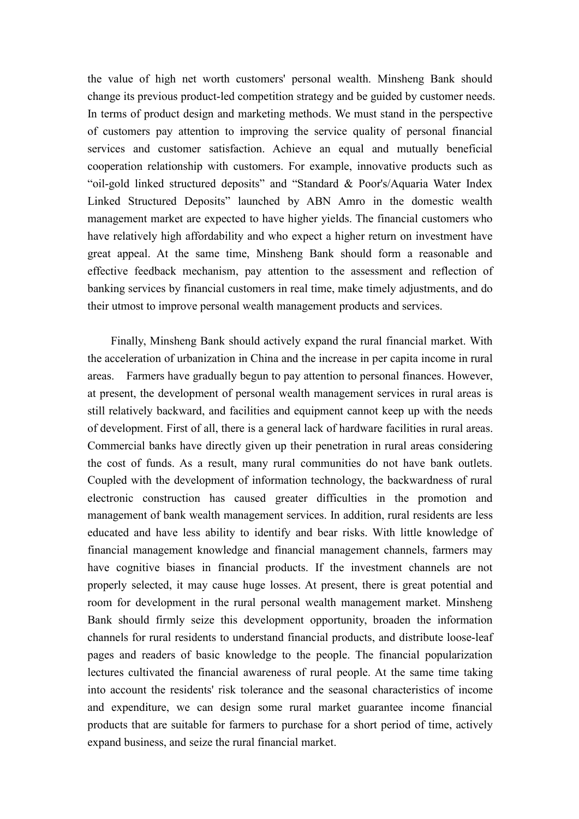the value of high net worth customers' personal wealth. Minsheng Bank should change its previous product-led competition strategy and be guided by customer needs. In terms of product design and marketing methods. We must stand in the perspective of customers pay attention to improving the service quality of personal financial services and customer satisfaction. Achieve an equal and mutually beneficial cooperation relationship with customers.For example, innovative products such as "oil-gold linked structured deposits" and "Standard & Poor's/Aquaria Water Index Linked Structured Deposits" launched by ABN Amro in the domestic wealth management market are expected to have higher yields. The financial customers who have relatively high affordability and who expect a higher return on investment have great appeal. At the same time, Minsheng Bank should form a reasonable and effective feedback mechanism, pay attention to the assessment and reflection of banking services by financial customers in real time, make timely adjustments, and do their utmost to improve personal wealth management products and services.

Finally, Minsheng Bank should actively expand the rural financial market. With the acceleration of urbanization in China and the increase in per capita income in rural areas. Farmers have gradually begun to pay attention to personal finances. However, at present, the development of personal wealth management services in rural areas is still relatively backward, and facilities and equipment cannot keep up with the needs of development. First of all, there is a general lack of hardware facilities in rural areas. Commercial banks have directly given up their penetration in rural areas considering the cost of funds. As a result, many rural communities do not have bank outlets. Coupled with the development of information technology, the backwardness of rural electronic construction has caused greater difficulties in the promotion and management of bank wealth management services. In addition, rural residents are less educated and have less ability to identify and bear risks.With little knowledge of financial management knowledge and financial management channels, farmers may have cognitive biases in financial products. If the investment channels are not properly selected, it may cause huge losses. At present, there is great potential and room for development in the rural personal wealth management market. Minsheng Bank should firmly seize this development opportunity, broaden the information channels for rural residents to understand financial products, and distribute loose-leaf pages and readers of basic knowledge to the people. The financial popularization lectures cultivated the financial awareness of rural people. At the same time taking into account the residents' risk tolerance and the seasonal characteristics of income and expenditure, we can design some rural market guarantee income financial products that are suitable for farmers to purchase for a short period of time, actively expand business, and seize the rural financial market.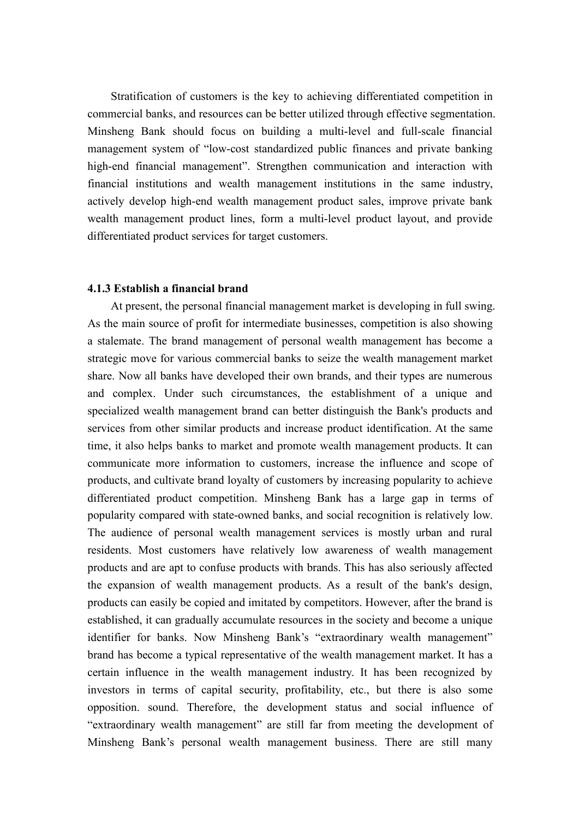Stratification of customers is the key to achieving differentiated competition in commercial banks, and resources can be better utilized through effective segmentation. Minsheng Bank should focus on building a multi-level and full-scale financial management system of "low-cost standardized public finances and private banking high-end financial management". Strengthen communication and interaction with financial institutions and wealth management institutions in the same industry, actively develop high-end wealth management product sales, improve private bank wealth management product lines, form a multi-level product layout, and provide differentiated product services for target customers.

#### **4.1.3 Establish a financial brand**

At present, the personal financial management market is developing in full swing. As the main source of profit for intermediate businesses, competition is also showing a stalemate. The brand management of personal wealth management has become a strategic move for various commercial banks to seize the wealth management market share. Now all banks have developed their own brands, and their types are numerous and complex. Under such circumstances, the establishment of a unique and specialized wealth management brand can better distinguish the Bank's products and services from other similar products and increase product identification. At the same time, it also helps banks to market and promote wealth management products. It can communicate more information to customers, increase the influence and scope of products, and cultivate brand loyalty of customers by increasing popularity to achieve differentiated product competition. Minsheng Bank has a large gap in terms of popularity compared with state-owned banks, and social recognition is relatively low. The audience of personal wealth management services is mostly urban and rural residents. Most customers have relatively low awareness of wealth management products and are apt to confuse products with brands. This has also seriously affected the expansion of wealth management products. As a result of the bank's design, products can easily be copied and imitated by competitors. However, after the brand is established, it can gradually accumulate resources in the society and become a unique identifier for banks. Now Minsheng Bank's "extraordinary wealth management" brand has become a typical representative of the wealth management market. It has a certain influence in the wealth management industry. It has been recognized by investors in terms of capital security, profitability, etc., but there is also some opposition. sound. Therefore, the development status and social influence of "extraordinary wealth management" are still far from meeting the development of Minsheng Bank's personal wealth management business. There are still many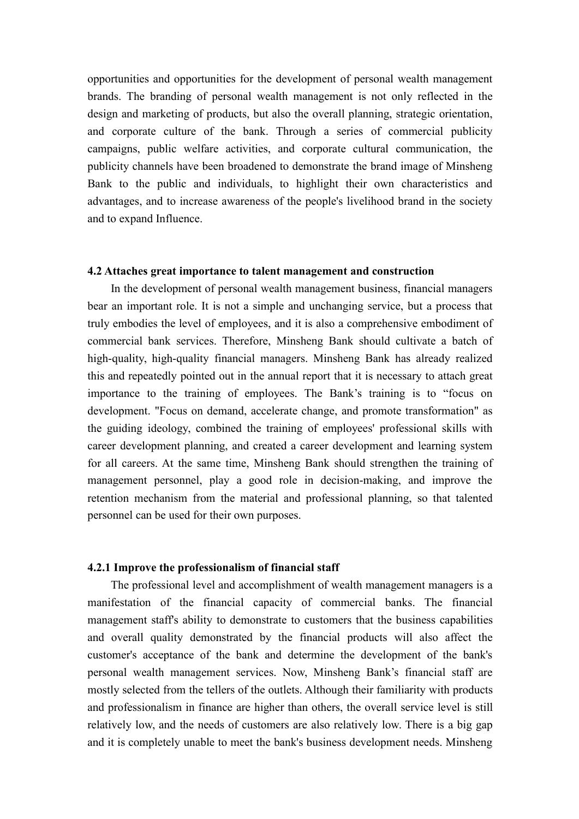opportunities and opportunities for the development of personal wealth management brands. The branding of personal wealth management is not only reflected in the design and marketing of products, but also the overall planning, strategic orientation, and corporate culture of the bank. Through a series of commercial publicity campaigns, public welfare activities, and corporate cultural communication, the publicity channels have been broadened to demonstrate the brand image of Minsheng Bank to the public and individuals, to highlight their own characteristics and advantages, and to increase awareness of the people's livelihood brand in the society and to expand Influence.

#### **4.2 Attaches great importance to talent management and construction**

In the development of personal wealth management business, financial managers bear an important role. It is not a simple and unchanging service, but a process that truly embodies the level of employees, and it is also a comprehensive embodiment of commercial bank services. Therefore, Minsheng Bank should cultivate a batch of high-quality, high-quality financial managers. Minsheng Bank has already realized this and repeatedly pointed out in the annual report that it is necessary to attach great importance to the training of employees. The Bank's training is to "focus on development. "Focus on demand, accelerate change, and promote transformation" as the guiding ideology, combined the training of employees' professional skills with career development planning, and created a career development and learning system for all careers. At the same time, Minsheng Bank should strengthen the training of management personnel, play a good role in decision-making, and improve the retention mechanism from the material and professional planning, so that talented personnel can be used for their own purposes.

#### **4.2.1 Improve the professionalism of financial staff**

The professional level and accomplishment of wealth management managers is a manifestation of the financial capacity of commercial banks. The financial management staff's ability to demonstrate to customers that the business capabilities and overall quality demonstrated by the financial products will also affect the customer's acceptance of the bank and determine the development of the bank's personal wealth management services. Now, Minsheng Bank's financial staff are mostly selected from the tellers of the outlets.Although their familiarity with products and professionalism in finance are higher than others, the overall service level is still relatively low, and the needs of customers are also relatively low. There is a big gap and it is completely unable to meet the bank's business development needs. Minsheng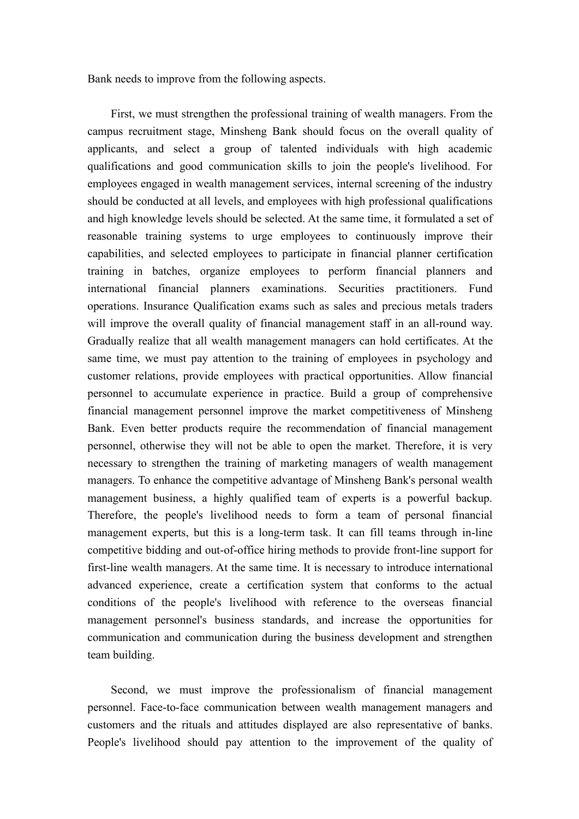Bank needs to improve from the following aspects.

First, we must strengthen the professional training of wealth managers. From the campus recruitment stage, Minsheng Bank should focus on the overall quality of applicants, and select a group of talented individuals with high academic qualifications and good communication skills to join the people's livelihood. For employees engaged in wealth management services, internal screening of the industry should be conducted at all levels, and employees with high professional qualifications and high knowledge levels should be selected. At the same time, it formulated a set of reasonable training systems to urge employees to continuously improve their capabilities, and selected employees to participate in financial planner certification training in batches, organize employees to perform financial planners and international financial planners examinations. Securities practitioners. Fund operations. Insurance Qualification exams such as sales and precious metals traders will improve the overall quality of financial management staff in an all-round way. Gradually realize that all wealth management managers can hold certificates. At the same time, we must pay attention to the training of employees in psychology and customer relations, provide employees with practical opportunities. Allow financial personnel to accumulate experience in practice. Build a group of comprehensive financial management personnel improve the market competitiveness of Minsheng Bank. Even better products require the recommendation of financial management personnel, otherwise they will not be able to open the market. Therefore, it is very necessary to strengthen the training of marketing managers of wealth management managers. To enhance the competitive advantage of Minsheng Bank's personal wealth management business, a highly qualified team of experts is a powerful backup. Therefore, the people's livelihood needs to form a team of personal financial management experts, but this is a long-term task. It can fill teams through in-line competitive bidding and out-of-office hiring methods to provide front-line support for first-line wealth managers. At the same time. It is necessary to introduce international advanced experience, create a certification system that conforms to the actual conditions of the people's livelihood with reference to the overseas financial management personnel's business standards, and increase the opportunities for communication and communication during the business development and strengthen team building.

Second, we must improve the professionalism of financial management personnel. Face-to-face communication between wealth management managers and customers and the rituals and attitudes displayed are also representative of banks. People's livelihood should pay attention to the improvement of the quality of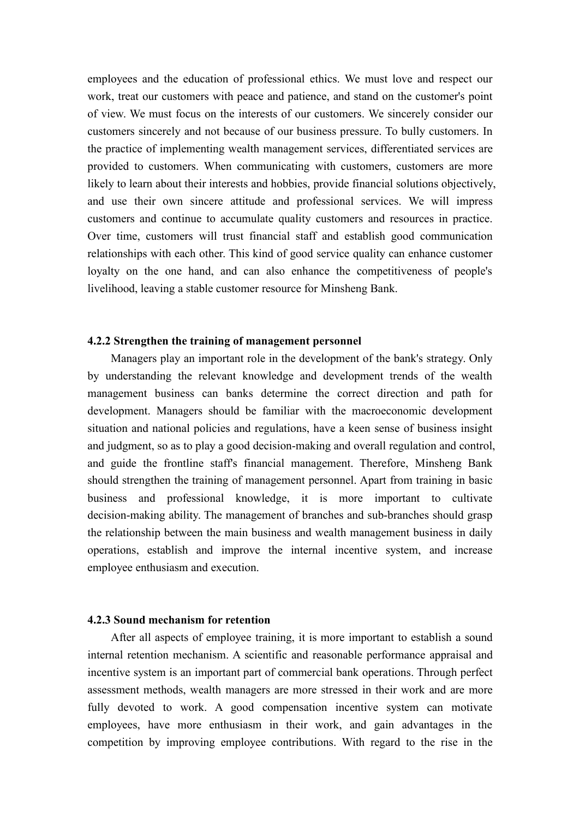employees and the education of professional ethics. We must love and respect our work, treat our customers with peace and patience, and stand on the customer's point of view. We must focus on the interests of our customers. We sincerely consider our customers sincerely and not because of our business pressure. To bully customers. In the practice of implementing wealth management services, differentiated services are provided to customers. When communicating with customers, customers are more likely to learn about their interests and hobbies, provide financial solutions objectively, and use their own sincere attitude and professional services. We will impress customers and continue to accumulate quality customers and resources in practice. Over time, customers will trust financial staff and establish good communication relationships with each other. This kind of good service quality can enhance customer loyalty on the one hand, and can also enhance the competitiveness of people's livelihood, leaving a stable customer resource for Minsheng Bank.

#### **4.2.2 Strengthen the training of management personnel**

Managers play an important role in the development of the bank's strategy. Only by understanding the relevant knowledge and development trends of the wealth management business can banks determine the correct direction and path for development. Managers should be familiar with the macroeconomic development situation and national policies and regulations, have a keen sense of business insight and judgment, so as to play a good decision-making and overall regulation and control, and guide the frontline staff's financial management. Therefore, Minsheng Bank should strengthen the training of management personnel. Apart from training in basic business and professional knowledge, it is more important to cultivate decision-making ability. The management of branches and sub-branches should grasp the relationship between the main business and wealth management business in daily operations, establish and improve the internal incentive system, and increase employee enthusiasm and execution.

### **4.2.3 Sound mechanism for retention**

After all aspects of employee training, it is more important to establish a sound internal retention mechanism. A scientific and reasonable performance appraisal and incentive system is an important part of commercial bank operations. Through perfect assessment methods, wealth managers are more stressed in their work and are more fully devoted to work. A good compensation incentive system can motivate employees, have more enthusiasm in their work, and gain advantages in the competition by improving employee contributions. With regard to the rise in the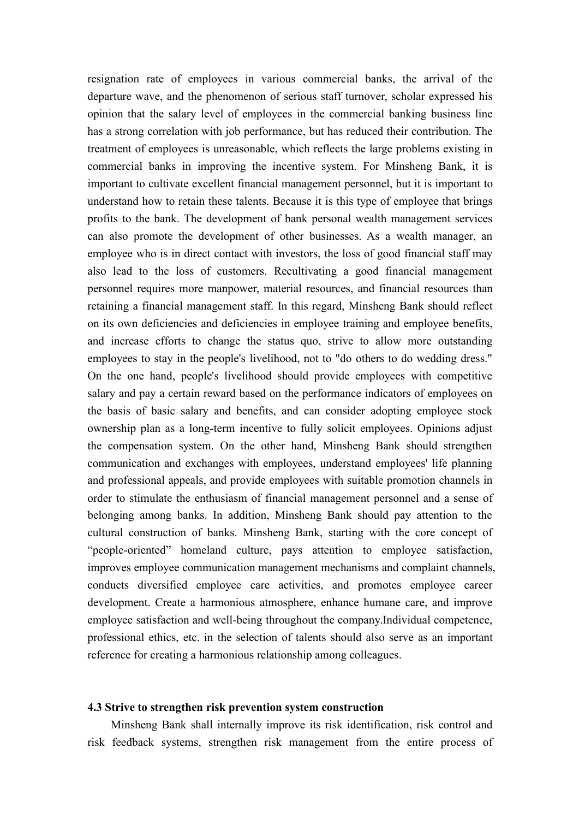resignation rate of employees in various commercial banks, the arrival of the departure wave, and the phenomenon of serious staff turnover, scholar expressed his opinion that the salary level of employees in the commercial banking business line has a strong correlation with job performance, but has reduced their contribution. The treatment of employees is unreasonable, which reflects the large problems existing in commercial banks in improving the incentive system. For Minsheng Bank, it is important to cultivate excellent financial management personnel, but it is important to understand how to retain these talents. Because it is this type of employee that brings profits to the bank. The development of bank personal wealth management services can also promote the development of other businesses. As a wealth manager, an employee who is in direct contact with investors, the loss of good financial staff may also lead to the loss of customers. Recultivating a good financial management personnel requires more manpower, material resources, and financial resources than retaining a financial management staff. In this regard, Minsheng Bank should reflect on its own deficiencies and deficiencies in employee training and employee benefits, and increase efforts to change the status quo, strive to allow more outstanding employees to stay in the people's livelihood, not to "do others to do wedding dress." On the one hand, people's livelihood should provide employees with competitive salary and pay a certain reward based on the performance indicators of employees on the basis of basic salary and benefits, and can consider adopting employee stock ownership plan as a long-term incentive to fully solicit employees. Opinions adjust the compensation system. On the other hand, Minsheng Bank should strengthen communication and exchanges with employees, understand employees' life planning and professional appeals, and provide employees with suitable promotion channels in order to stimulate the enthusiasm of financial management personnel and a sense of belonging among banks. In addition, Minsheng Bank should pay attention to the cultural construction of banks. Minsheng Bank, starting with the core concept of "people-oriented" homeland culture, pays attention to employee satisfaction, improves employee communication management mechanisms and complaint channels, conducts diversified employee care activities, and promotes employee career development. Create a harmonious atmosphere, enhance humane care, and improve employee satisfaction and well-being throughout the company.Individual competence, professional ethics, etc. in the selection of talents should also serve as an important reference for creating a harmonious relationship among colleagues.

### **4.3 Strive to strengthen risk prevention system construction**

Minsheng Bank shall internally improve its risk identification, risk control and risk feedback systems, strengthen risk management from the entire process of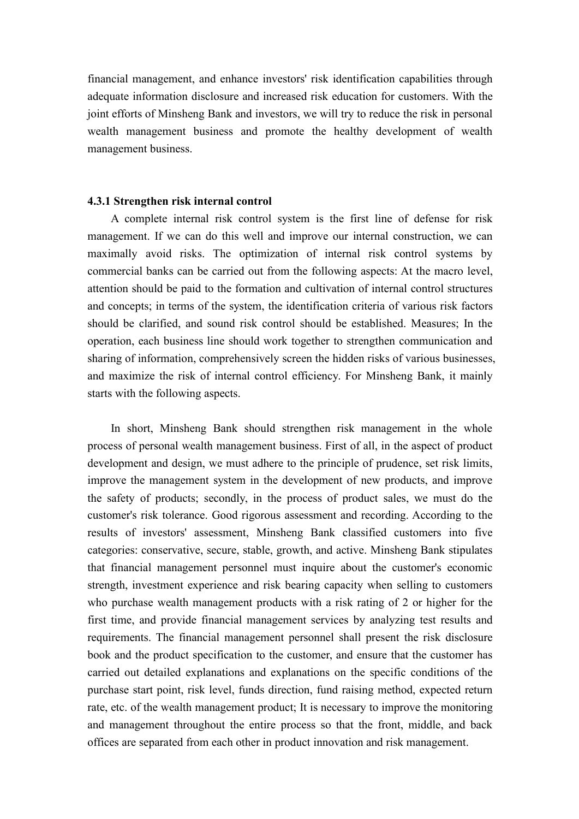financial management, and enhance investors' risk identification capabilities through adequate information disclosure and increased risk education for customers. With the joint efforts of Minsheng Bank and investors, we will try to reduce the risk in personal wealth management business and promote the healthy development of wealth management business.

#### **4.3.1 Strengthen risk internal control**

A complete internal risk control system is the first line of defense for risk management. If we can do this well and improve our internal construction, we can maximally avoid risks. The optimization of internal risk control systems by commercial banks can be carried out from the following aspects: At the macro level, attention should be paid to the formation and cultivation of internal control structures and concepts; in terms of the system, the identification criteria of various risk factors should be clarified, and sound risk control should be established. Measures; In the operation, each business line should work together to strengthen communication and sharing of information, comprehensively screen the hidden risks of various businesses, and maximize the risk of internal control efficiency. For Minsheng Bank, it mainly starts with the following aspects.

In short, Minsheng Bank should strengthen risk management in the whole process of personal wealth management business. First of all, in the aspect of product development and design, we must adhere to the principle of prudence, set risk limits, improve the management system in the development of new products, and improve the safety of products; secondly, in the process of product sales, we must do the customer's risk tolerance. Good rigorous assessment and recording. According to the results of investors' assessment, Minsheng Bank classified customers into five categories: conservative, secure, stable, growth, and active. Minsheng Bank stipulates that financial management personnel must inquire about the customer's economic strength, investment experience and risk bearing capacity when selling to customers who purchase wealth management products with a risk rating of 2 or higher for the first time, and provide financial management services by analyzing test results and requirements. The financial management personnel shall present the risk disclosure book and the product specification to the customer, and ensure that the customer has carried out detailed explanations and explanations on the specific conditions of the purchase start point, risk level, funds direction, fund raising method, expected return rate, etc. of the wealth management product; It is necessary to improve the monitoring and management throughout the entire process so that the front, middle, and back offices are separated from each other in product innovation and risk management.